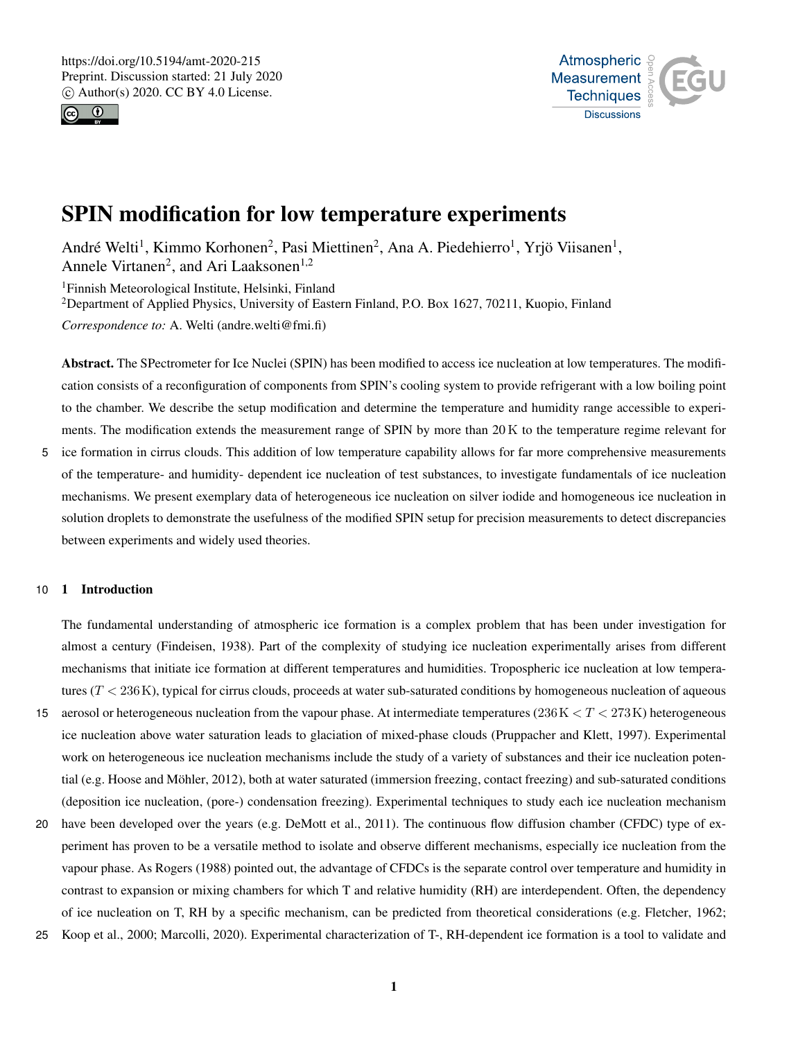



# SPIN modification for low temperature experiments

André Welti<sup>1</sup>, Kimmo Korhonen<sup>2</sup>, Pasi Miettinen<sup>2</sup>, Ana A. Piedehierro<sup>1</sup>, Yrjö Viisanen<sup>1</sup>, Annele Virtanen<sup>2</sup>, and Ari Laaksonen<sup>1,2</sup>

<sup>1</sup>Finnish Meteorological Institute, Helsinki, Finland

<sup>2</sup>Department of Applied Physics, University of Eastern Finland, P.O. Box 1627, 70211, Kuopio, Finland *Correspondence to:* A. Welti (andre.welti@fmi.fi)

Abstract. The SPectrometer for Ice Nuclei (SPIN) has been modified to access ice nucleation at low temperatures. The modification consists of a reconfiguration of components from SPIN's cooling system to provide refrigerant with a low boiling point to the chamber. We describe the setup modification and determine the temperature and humidity range accessible to experiments. The modification extends the measurement range of SPIN by more than 20 K to the temperature regime relevant for

5 ice formation in cirrus clouds. This addition of low temperature capability allows for far more comprehensive measurements of the temperature- and humidity- dependent ice nucleation of test substances, to investigate fundamentals of ice nucleation mechanisms. We present exemplary data of heterogeneous ice nucleation on silver iodide and homogeneous ice nucleation in solution droplets to demonstrate the usefulness of the modified SPIN setup for precision measurements to detect discrepancies between experiments and widely used theories.

# 10 1 Introduction

The fundamental understanding of atmospheric ice formation is a complex problem that has been under investigation for almost a century (Findeisen, 1938). Part of the complexity of studying ice nucleation experimentally arises from different mechanisms that initiate ice formation at different temperatures and humidities. Tropospheric ice nucleation at low temperatures  $(T < 236 \text{ K})$ , typical for cirrus clouds, proceeds at water sub-saturated conditions by homogeneous nucleation of aqueous

- 15 aerosol or heterogeneous nucleation from the vapour phase. At intermediate temperatures  $(236K < T < 273K)$  heterogeneous ice nucleation above water saturation leads to glaciation of mixed-phase clouds (Pruppacher and Klett, 1997). Experimental work on heterogeneous ice nucleation mechanisms include the study of a variety of substances and their ice nucleation potential (e.g. Hoose and Möhler, 2012), both at water saturated (immersion freezing, contact freezing) and sub-saturated conditions (deposition ice nucleation, (pore-) condensation freezing). Experimental techniques to study each ice nucleation mechanism
- 20 have been developed over the years (e.g. DeMott et al., 2011). The continuous flow diffusion chamber (CFDC) type of experiment has proven to be a versatile method to isolate and observe different mechanisms, especially ice nucleation from the vapour phase. As Rogers (1988) pointed out, the advantage of CFDCs is the separate control over temperature and humidity in contrast to expansion or mixing chambers for which T and relative humidity (RH) are interdependent. Often, the dependency of ice nucleation on T, RH by a specific mechanism, can be predicted from theoretical considerations (e.g. Fletcher, 1962;
- 25 Koop et al., 2000; Marcolli, 2020). Experimental characterization of T-, RH-dependent ice formation is a tool to validate and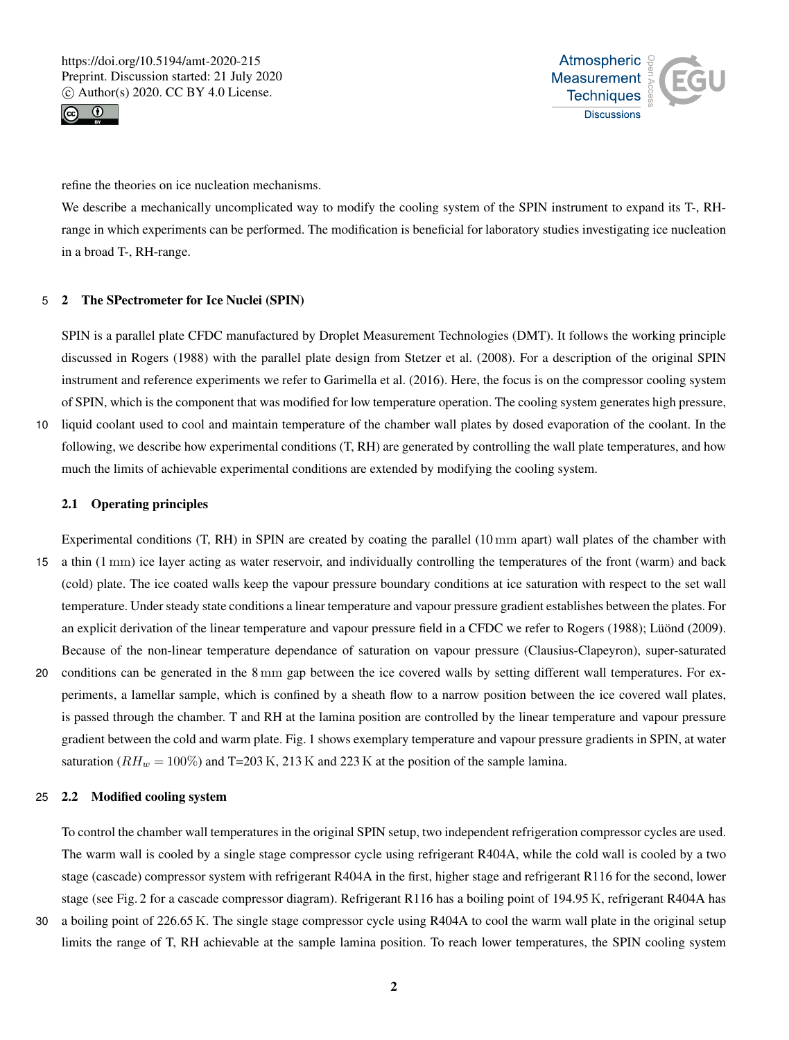



refine the theories on ice nucleation mechanisms.

We describe a mechanically uncomplicated way to modify the cooling system of the SPIN instrument to expand its T-, RHrange in which experiments can be performed. The modification is beneficial for laboratory studies investigating ice nucleation in a broad T-, RH-range.

# 5 2 The SPectrometer for Ice Nuclei (SPIN)

SPIN is a parallel plate CFDC manufactured by Droplet Measurement Technologies (DMT). It follows the working principle discussed in Rogers (1988) with the parallel plate design from Stetzer et al. (2008). For a description of the original SPIN instrument and reference experiments we refer to Garimella et al. (2016). Here, the focus is on the compressor cooling system of SPIN, which is the component that was modified for low temperature operation. The cooling system generates high pressure,

10 liquid coolant used to cool and maintain temperature of the chamber wall plates by dosed evaporation of the coolant. In the following, we describe how experimental conditions (T, RH) are generated by controlling the wall plate temperatures, and how much the limits of achievable experimental conditions are extended by modifying the cooling system.

### 2.1 Operating principles

Experimental conditions (T, RH) in SPIN are created by coating the parallel (10 mm apart) wall plates of the chamber with 15 a thin (1 mm) ice layer acting as water reservoir, and individually controlling the temperatures of the front (warm) and back (cold) plate. The ice coated walls keep the vapour pressure boundary conditions at ice saturation with respect to the set wall temperature. Under steady state conditions a linear temperature and vapour pressure gradient establishes between the plates. For an explicit derivation of the linear temperature and vapour pressure field in a CFDC we refer to Rogers (1988); Lüönd (2009). Because of the non-linear temperature dependance of saturation on vapour pressure (Clausius-Clapeyron), super-saturated 20 conditions can be generated in the 8 mm gap between the ice covered walls by setting different wall temperatures. For experiments, a lamellar sample, which is confined by a sheath flow to a narrow position between the ice covered wall plates, is passed through the chamber. T and RH at the lamina position are controlled by the linear temperature and vapour pressure gradient between the cold and warm plate. Fig. 1 shows exemplary temperature and vapour pressure gradients in SPIN, at water saturation ( $RH_w = 100\%$ ) and T=203 K, 213 K and 223 K at the position of the sample lamina.

#### 25 2.2 Modified cooling system

To control the chamber wall temperatures in the original SPIN setup, two independent refrigeration compressor cycles are used. The warm wall is cooled by a single stage compressor cycle using refrigerant R404A, while the cold wall is cooled by a two stage (cascade) compressor system with refrigerant R404A in the first, higher stage and refrigerant R116 for the second, lower stage (see Fig. 2 for a cascade compressor diagram). Refrigerant R116 has a boiling point of 194.95 K, refrigerant R404A has

30 a boiling point of 226.65 K. The single stage compressor cycle using R404A to cool the warm wall plate in the original setup limits the range of T, RH achievable at the sample lamina position. To reach lower temperatures, the SPIN cooling system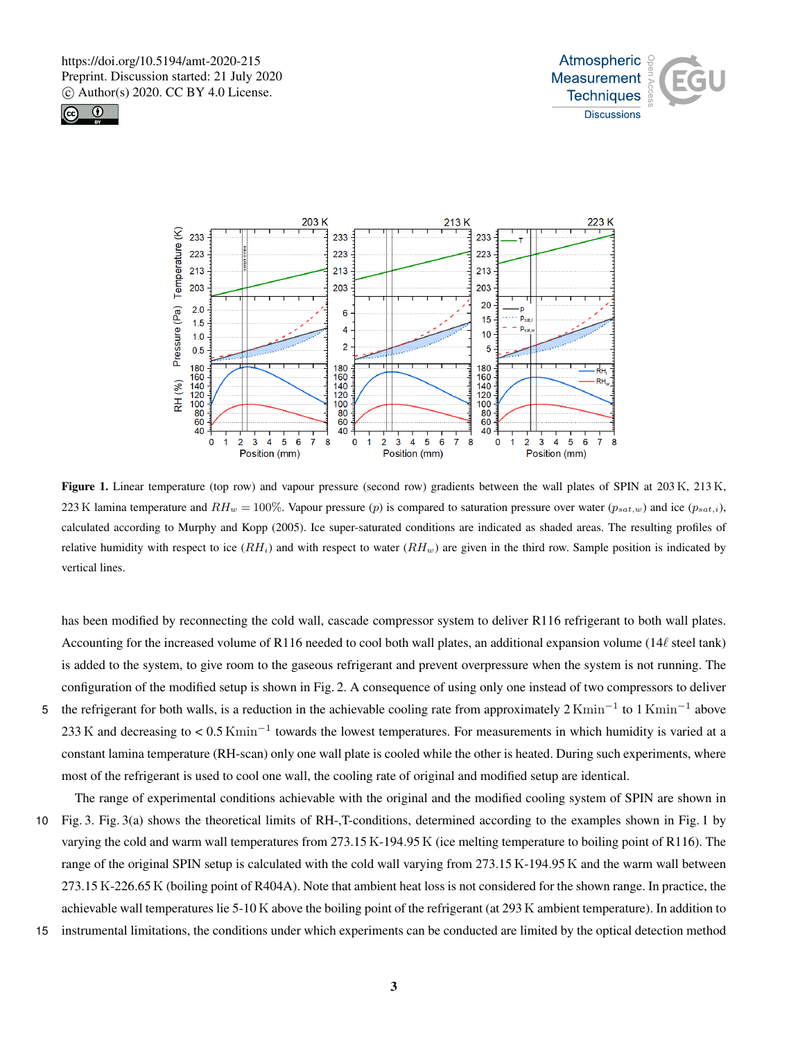





Figure 1. Linear temperature (top row) and vapour pressure (second row) gradients between the wall plates of SPIN at 203 K, 213 K, 223 K lamina temperature and  $RH_w = 100\%$ . Vapour pressure (p) is compared to saturation pressure over water ( $p_{sat,w}$ ) and ice ( $p_{sat,i}$ ), calculated according to Murphy and Kopp (2005). Ice super-saturated conditions are indicated as shaded areas. The resulting profiles of relative humidity with respect to ice  $(RH_i)$  and with respect to water  $(RH_w)$  are given in the third row. Sample position is indicated by vertical lines.

has been modified by reconnecting the cold wall, cascade compressor system to deliver R116 refrigerant to both wall plates. Accounting for the increased volume of R116 needed to cool both wall plates, an additional expansion volume ( $14\ell$  steel tank) is added to the system, to give room to the gaseous refrigerant and prevent overpressure when the system is not running. The configuration of the modified setup is shown in Fig. 2. A consequence of using only one instead of two compressors to deliver

- 5 the refrigerant for both walls, is a reduction in the achievable cooling rate from approximately  $2 \text{Kmin}^{-1}$  to  $1 \text{Kmin}^{-1}$  above 233 K and decreasing to <  $0.5$  Kmin<sup>-1</sup> towards the lowest temperatures. For measurements in which humidity is varied at a constant lamina temperature (RH-scan) only one wall plate is cooled while the other is heated. During such experiments, where most of the refrigerant is used to cool one wall, the cooling rate of original and modified setup are identical.
- The range of experimental conditions achievable with the original and the modified cooling system of SPIN are shown in 10 Fig. 3. Fig. 3(a) shows the theoretical limits of RH-,T-conditions, determined according to the examples shown in Fig. 1 by varying the cold and warm wall temperatures from 273.15 K-194.95 K (ice melting temperature to boiling point of R116). The range of the original SPIN setup is calculated with the cold wall varying from 273.15 K-194.95 K and the warm wall between 273.15 K-226.65 K (boiling point of R404A). Note that ambient heat loss is not considered for the shown range. In practice, the achievable wall temperatures lie 5-10 K above the boiling point of the refrigerant (at 293 K ambient temperature). In addition to
- 15 instrumental limitations, the conditions under which experiments can be conducted are limited by the optical detection method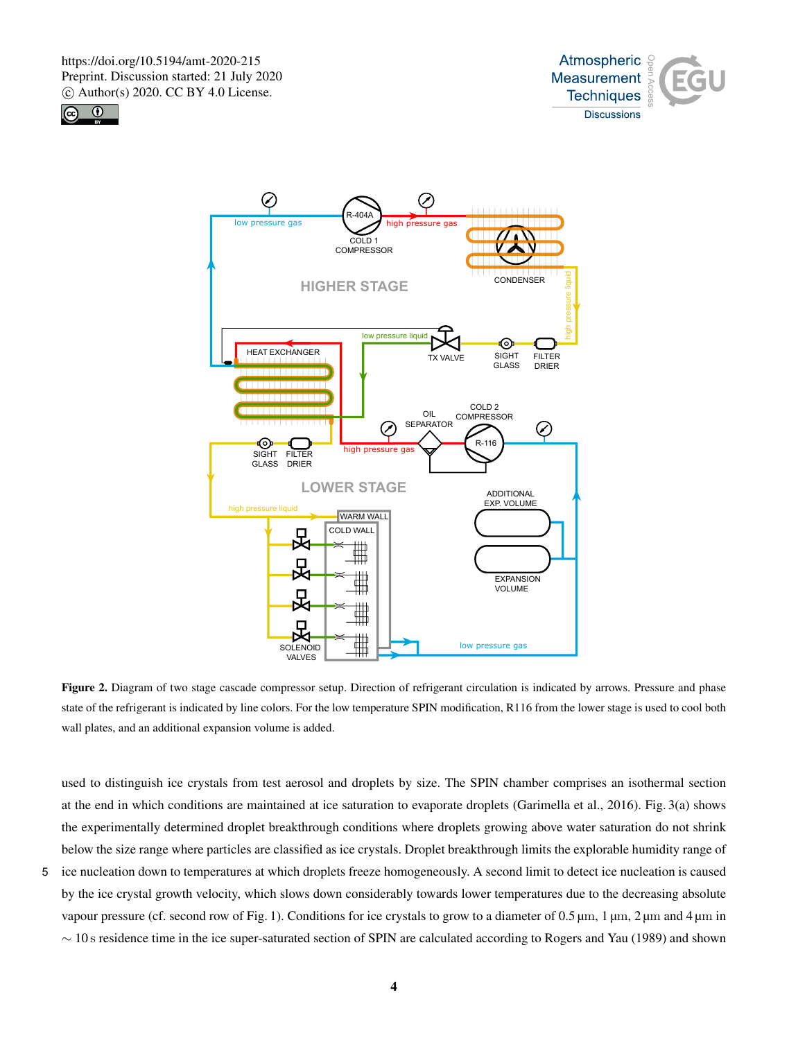





Figure 2. Diagram of two stage cascade compressor setup. Direction of refrigerant circulation is indicated by arrows. Pressure and phase state of the refrigerant is indicated by line colors. For the low temperature SPIN modification, R116 from the lower stage is used to cool both wall plates, and an additional expansion volume is added.

used to distinguish ice crystals from test aerosol and droplets by size. The SPIN chamber comprises an isothermal section at the end in which conditions are maintained at ice saturation to evaporate droplets (Garimella et al., 2016). Fig. 3(a) shows the experimentally determined droplet breakthrough conditions where droplets growing above water saturation do not shrink below the size range where particles are classified as ice crystals. Droplet breakthrough limits the explorable humidity range of

5 ice nucleation down to temperatures at which droplets freeze homogeneously. A second limit to detect ice nucleation is caused by the ice crystal growth velocity, which slows down considerably towards lower temperatures due to the decreasing absolute vapour pressure (cf. second row of Fig. 1). Conditions for ice crystals to grow to a diameter of 0.5 µm, 1 µm, 2 µm and 4 µm in ∼ 10 s residence time in the ice super-saturated section of SPIN are calculated according to Rogers and Yau (1989) and shown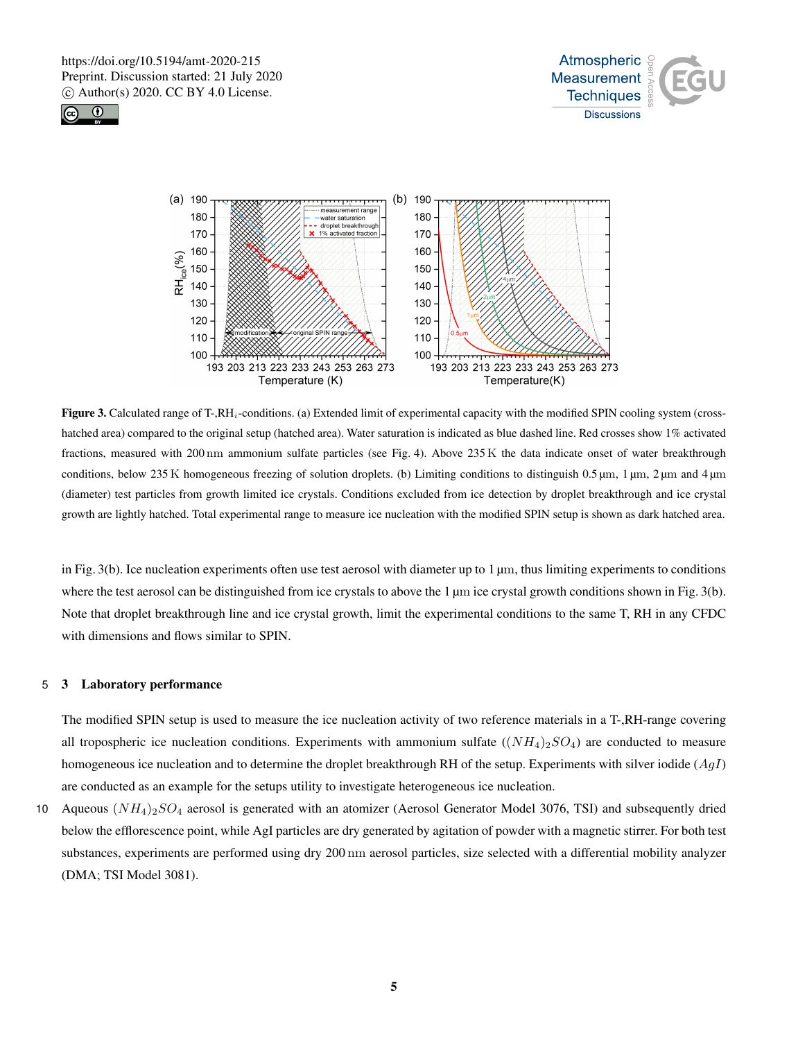





Figure 3. Calculated range of T-,RH<sub>i</sub>-conditions. (a) Extended limit of experimental capacity with the modified SPIN cooling system (crosshatched area) compared to the original setup (hatched area). Water saturation is indicated as blue dashed line. Red crosses show 1% activated fractions, measured with 200 nm ammonium sulfate particles (see Fig. 4). Above 235 K the data indicate onset of water breakthrough conditions, below 235 K homogeneous freezing of solution droplets. (b) Limiting conditions to distinguish 0.5  $\mu$ m, 1  $\mu$ m, 2  $\mu$ m and 4  $\mu$ m (diameter) test particles from growth limited ice crystals. Conditions excluded from ice detection by droplet breakthrough and ice crystal growth are lightly hatched. Total experimental range to measure ice nucleation with the modified SPIN setup is shown as dark hatched area.

in Fig. 3(b). Ice nucleation experiments often use test aerosol with diameter up to  $1 \mu m$ , thus limiting experiments to conditions where the test aerosol can be distinguished from ice crystals to above the 1 µm ice crystal growth conditions shown in Fig. 3(b). Note that droplet breakthrough line and ice crystal growth, limit the experimental conditions to the same T, RH in any CFDC with dimensions and flows similar to SPIN.

#### 5 3 Laboratory performance

The modified SPIN setup is used to measure the ice nucleation activity of two reference materials in a T-,RH-range covering all tropospheric ice nucleation conditions. Experiments with ammonium sulfate  $((NH_4)_2SO_4)$  are conducted to measure homogeneous ice nucleation and to determine the droplet breakthrough RH of the setup. Experiments with silver iodide  $(AgI)$ are conducted as an example for the setups utility to investigate heterogeneous ice nucleation.

10 Aqueous  $(NH_4)_2SO_4$  aerosol is generated with an atomizer (Aerosol Generator Model 3076, TSI) and subsequently dried below the efflorescence point, while AgI particles are dry generated by agitation of powder with a magnetic stirrer. For both test substances, experiments are performed using dry 200 nm aerosol particles, size selected with a differential mobility analyzer (DMA; TSI Model 3081).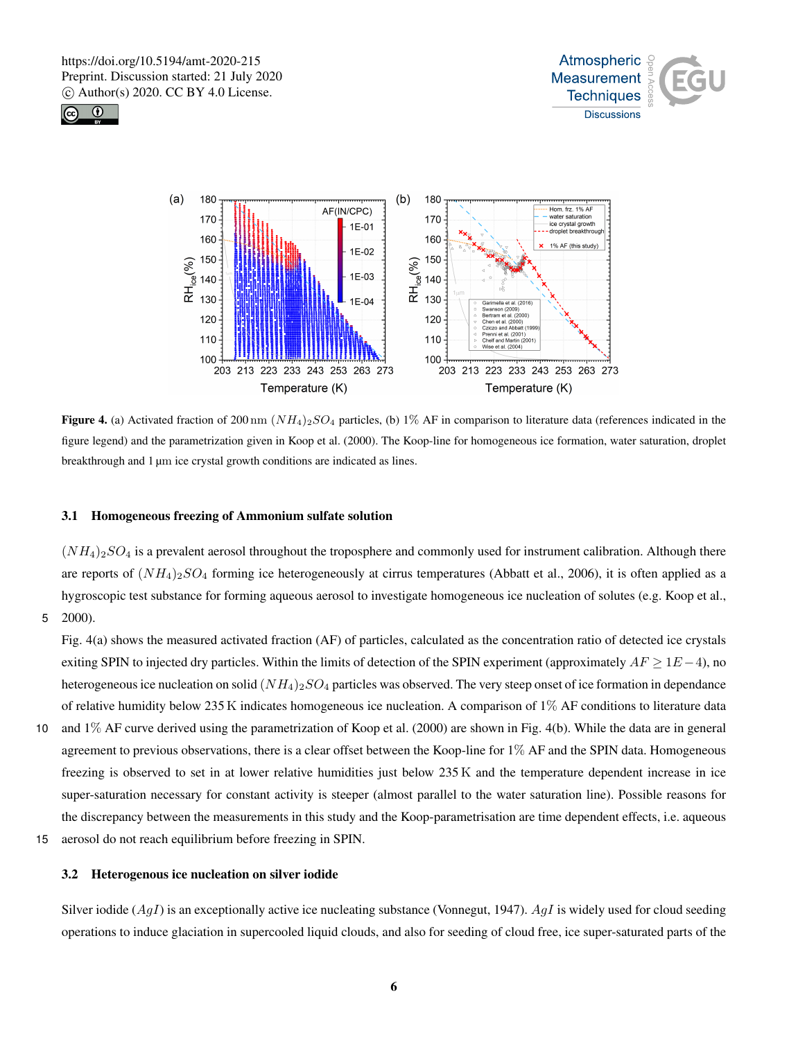





Figure 4. (a) Activated fraction of 200 nm  $(NH_4)_{2}SO_4$  particles, (b) 1% AF in comparison to literature data (references indicated in the figure legend) and the parametrization given in Koop et al. (2000). The Koop-line for homogeneous ice formation, water saturation, droplet breakthrough and 1 µm ice crystal growth conditions are indicated as lines.

### 3.1 Homogeneous freezing of Ammonium sulfate solution

 $(NH_4)_2SO_4$  is a prevalent aerosol throughout the troposphere and commonly used for instrument calibration. Although there are reports of  $(NH_4)_2SO_4$  forming ice heterogeneously at cirrus temperatures (Abbatt et al., 2006), it is often applied as a hygroscopic test substance for forming aqueous aerosol to investigate homogeneous ice nucleation of solutes (e.g. Koop et al., 5 2000).

Fig. 4(a) shows the measured activated fraction (AF) of particles, calculated as the concentration ratio of detected ice crystals exiting SPIN to injected dry particles. Within the limits of detection of the SPIN experiment (approximately  $AF \ge 1E - 4$ ), no heterogeneous ice nucleation on solid  $(NH_4)_{2}SO_4$  particles was observed. The very steep onset of ice formation in dependance of relative humidity below 235 K indicates homogeneous ice nucleation. A comparison of  $1\%$  AF conditions to literature data

- 10 and 1% AF curve derived using the parametrization of Koop et al. (2000) are shown in Fig. 4(b). While the data are in general agreement to previous observations, there is a clear offset between the Koop-line for 1% AF and the SPIN data. Homogeneous freezing is observed to set in at lower relative humidities just below 235 K and the temperature dependent increase in ice super-saturation necessary for constant activity is steeper (almost parallel to the water saturation line). Possible reasons for the discrepancy between the measurements in this study and the Koop-parametrisation are time dependent effects, i.e. aqueous
- 15 aerosol do not reach equilibrium before freezing in SPIN.

### 3.2 Heterogenous ice nucleation on silver iodide

Silver iodide  $(AgI)$  is an exceptionally active ice nucleating substance (Vonnegut, 1947). AgI is widely used for cloud seeding operations to induce glaciation in supercooled liquid clouds, and also for seeding of cloud free, ice super-saturated parts of the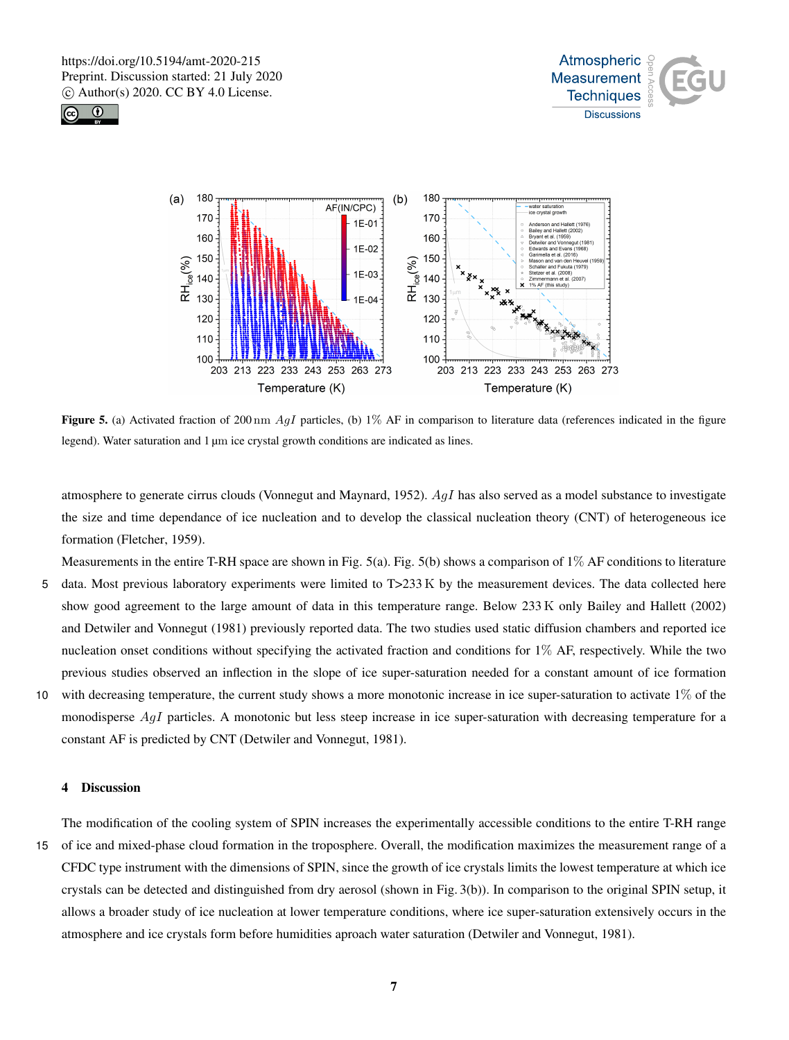





Figure 5. (a) Activated fraction of 200 nm  $AgI$  particles, (b) 1% AF in comparison to literature data (references indicated in the figure legend). Water saturation and 1 µm ice crystal growth conditions are indicated as lines.

atmosphere to generate cirrus clouds (Vonnegut and Maynard, 1952).  $AgI$  has also served as a model substance to investigate the size and time dependance of ice nucleation and to develop the classical nucleation theory (CNT) of heterogeneous ice formation (Fletcher, 1959).

- Measurements in the entire T-RH space are shown in Fig. 5(a). Fig. 5(b) shows a comparison of  $1\%$  AF conditions to literature 5 data. Most previous laboratory experiments were limited to T>233 K by the measurement devices. The data collected here show good agreement to the large amount of data in this temperature range. Below 233 K only Bailey and Hallett (2002) and Detwiler and Vonnegut (1981) previously reported data. The two studies used static diffusion chambers and reported ice nucleation onset conditions without specifying the activated fraction and conditions for 1% AF, respectively. While the two previous studies observed an inflection in the slope of ice super-saturation needed for a constant amount of ice formation 10 with decreasing temperature, the current study shows a more monotonic increase in ice super-saturation to activate 1% of the
- monodisperse AgI particles. A monotonic but less steep increase in ice super-saturation with decreasing temperature for a constant AF is predicted by CNT (Detwiler and Vonnegut, 1981).

# 4 Discussion

The modification of the cooling system of SPIN increases the experimentally accessible conditions to the entire T-RH range 15 of ice and mixed-phase cloud formation in the troposphere. Overall, the modification maximizes the measurement range of a CFDC type instrument with the dimensions of SPIN, since the growth of ice crystals limits the lowest temperature at which ice crystals can be detected and distinguished from dry aerosol (shown in Fig. 3(b)). In comparison to the original SPIN setup, it allows a broader study of ice nucleation at lower temperature conditions, where ice super-saturation extensively occurs in the atmosphere and ice crystals form before humidities aproach water saturation (Detwiler and Vonnegut, 1981).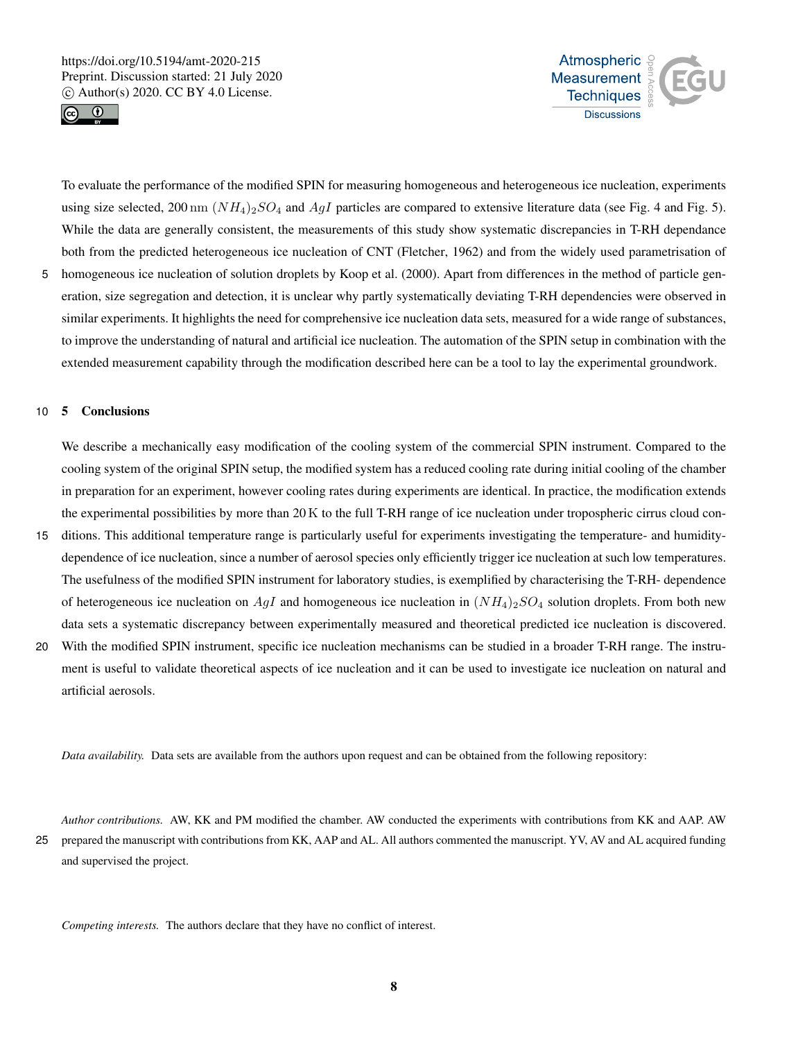



To evaluate the performance of the modified SPIN for measuring homogeneous and heterogeneous ice nucleation, experiments using size selected, 200 nm  $(NH_4)_2SO_4$  and  $AgI$  particles are compared to extensive literature data (see Fig. 4 and Fig. 5). While the data are generally consistent, the measurements of this study show systematic discrepancies in T-RH dependance both from the predicted heterogeneous ice nucleation of CNT (Fletcher, 1962) and from the widely used parametrisation of

5 homogeneous ice nucleation of solution droplets by Koop et al. (2000). Apart from differences in the method of particle generation, size segregation and detection, it is unclear why partly systematically deviating T-RH dependencies were observed in similar experiments. It highlights the need for comprehensive ice nucleation data sets, measured for a wide range of substances, to improve the understanding of natural and artificial ice nucleation. The automation of the SPIN setup in combination with the extended measurement capability through the modification described here can be a tool to lay the experimental groundwork.

### 10 5 Conclusions

We describe a mechanically easy modification of the cooling system of the commercial SPIN instrument. Compared to the cooling system of the original SPIN setup, the modified system has a reduced cooling rate during initial cooling of the chamber in preparation for an experiment, however cooling rates during experiments are identical. In practice, the modification extends the experimental possibilities by more than 20 K to the full T-RH range of ice nucleation under tropospheric cirrus cloud con-

- 15 ditions. This additional temperature range is particularly useful for experiments investigating the temperature- and humiditydependence of ice nucleation, since a number of aerosol species only efficiently trigger ice nucleation at such low temperatures. The usefulness of the modified SPIN instrument for laboratory studies, is exemplified by characterising the T-RH- dependence of heterogeneous ice nucleation on AgI and homogeneous ice nucleation in  $(NH_4)_{2}SO_4$  solution droplets. From both new data sets a systematic discrepancy between experimentally measured and theoretical predicted ice nucleation is discovered.
- 20 With the modified SPIN instrument, specific ice nucleation mechanisms can be studied in a broader T-RH range. The instrument is useful to validate theoretical aspects of ice nucleation and it can be used to investigate ice nucleation on natural and artificial aerosols.

*Data availability.* Data sets are available from the authors upon request and can be obtained from the following repository:

*Author contributions.* AW, KK and PM modified the chamber. AW conducted the experiments with contributions from KK and AAP. AW 25 prepared the manuscript with contributions from KK, AAP and AL. All authors commented the manuscript. YV, AV and AL acquired funding and supervised the project.

*Competing interests.* The authors declare that they have no conflict of interest.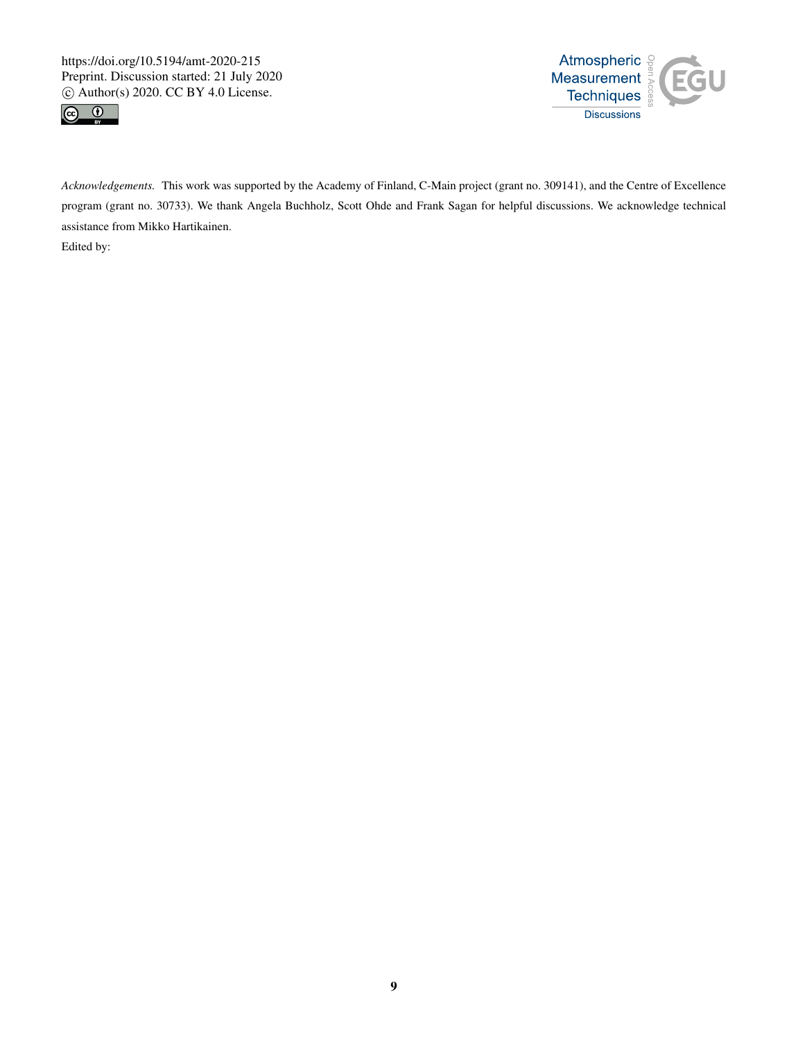



*Acknowledgements.* This work was supported by the Academy of Finland, C-Main project (grant no. 309141), and the Centre of Excellence program (grant no. 30733). We thank Angela Buchholz, Scott Ohde and Frank Sagan for helpful discussions. We acknowledge technical assistance from Mikko Hartikainen. Edited by: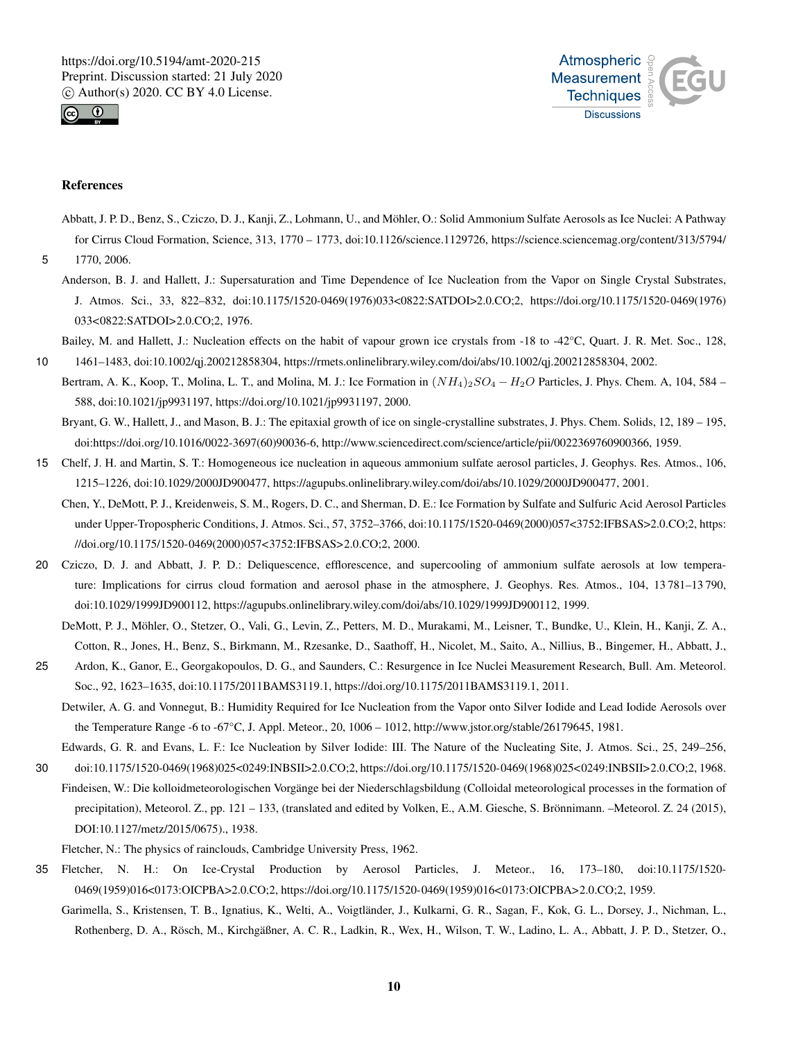



#### References

Abbatt, J. P. D., Benz, S., Cziczo, D. J., Kanji, Z., Lohmann, U., and Möhler, O.: Solid Ammonium Sulfate Aerosols as Ice Nuclei: A Pathway for Cirrus Cloud Formation, Science, 313, 1770 – 1773, doi:10.1126/science.1129726, https://science.sciencemag.org/content/313/5794/

5 1770, 2006.

Anderson, B. J. and Hallett, J.: Supersaturation and Time Dependence of Ice Nucleation from the Vapor on Single Crystal Substrates, J. Atmos. Sci., 33, 822–832, doi:10.1175/1520-0469(1976)033<0822:SATDOI>2.0.CO;2, https://doi.org/10.1175/1520-0469(1976) 033<0822:SATDOI>2.0.CO;2, 1976.

Bailey, M. and Hallett, J.: Nucleation effects on the habit of vapour grown ice crystals from -18 to -42°C, Quart. J. R. Met. Soc., 128,

10 1461–1483, doi:10.1002/qj.200212858304, https://rmets.onlinelibrary.wiley.com/doi/abs/10.1002/qj.200212858304, 2002. Bertram, A. K., Koop, T., Molina, L. T., and Molina, M. J.: Ice Formation in  $(NH_4)_{2}SO_4 - H_2O$  Particles, J. Phys. Chem. A, 104, 584 – 588, doi:10.1021/jp9931197, https://doi.org/10.1021/jp9931197, 2000.

Bryant, G. W., Hallett, J., and Mason, B. J.: The epitaxial growth of ice on single-crystalline substrates, J. Phys. Chem. Solids, 12, 189 – 195, doi:https://doi.org/10.1016/0022-3697(60)90036-6, http://www.sciencedirect.com/science/article/pii/0022369760900366, 1959.

- 15 Chelf, J. H. and Martin, S. T.: Homogeneous ice nucleation in aqueous ammonium sulfate aerosol particles, J. Geophys. Res. Atmos., 106, 1215–1226, doi:10.1029/2000JD900477, https://agupubs.onlinelibrary.wiley.com/doi/abs/10.1029/2000JD900477, 2001.
	- Chen, Y., DeMott, P. J., Kreidenweis, S. M., Rogers, D. C., and Sherman, D. E.: Ice Formation by Sulfate and Sulfuric Acid Aerosol Particles under Upper-Tropospheric Conditions, J. Atmos. Sci., 57, 3752–3766, doi:10.1175/1520-0469(2000)057<3752:IFBSAS>2.0.CO;2, https: //doi.org/10.1175/1520-0469(2000)057<3752:IFBSAS>2.0.CO;2, 2000.
- 20 Cziczo, D. J. and Abbatt, J. P. D.: Deliquescence, efflorescence, and supercooling of ammonium sulfate aerosols at low temperature: Implications for cirrus cloud formation and aerosol phase in the atmosphere, J. Geophys. Res. Atmos., 104, 13 781–13 790, doi:10.1029/1999JD900112, https://agupubs.onlinelibrary.wiley.com/doi/abs/10.1029/1999JD900112, 1999.
	- DeMott, P. J., Möhler, O., Stetzer, O., Vali, G., Levin, Z., Petters, M. D., Murakami, M., Leisner, T., Bundke, U., Klein, H., Kanji, Z. A., Cotton, R., Jones, H., Benz, S., Birkmann, M., Rzesanke, D., Saathoff, H., Nicolet, M., Saito, A., Nillius, B., Bingemer, H., Abbatt, J.,
- 25 Ardon, K., Ganor, E., Georgakopoulos, D. G., and Saunders, C.: Resurgence in Ice Nuclei Measurement Research, Bull. Am. Meteorol. Soc., 92, 1623–1635, doi:10.1175/2011BAMS3119.1, https://doi.org/10.1175/2011BAMS3119.1, 2011.
	- Detwiler, A. G. and Vonnegut, B.: Humidity Required for Ice Nucleation from the Vapor onto Silver Iodide and Lead Iodide Aerosols over the Temperature Range -6 to -67°C, J. Appl. Meteor., 20, 1006 – 1012, http://www.jstor.org/stable/26179645, 1981.

Edwards, G. R. and Evans, L. F.: Ice Nucleation by Silver Iodide: III. The Nature of the Nucleating Site, J. Atmos. Sci., 25, 249–256,

30 doi:10.1175/1520-0469(1968)025<0249:INBSII>2.0.CO;2, https://doi.org/10.1175/1520-0469(1968)025<0249:INBSII>2.0.CO;2, 1968. Findeisen, W.: Die kolloidmeteorologischen Vorgänge bei der Niederschlagsbildung (Colloidal meteorological processes in the formation of precipitation), Meteorol. Z., pp. 121 – 133, (translated and edited by Volken, E., A.M. Giesche, S. Brönnimann. –Meteorol. Z. 24 (2015), DOI:10.1127/metz/2015/0675)., 1938.

Fletcher, N.: The physics of rainclouds, Cambridge University Press, 1962.

- 35 Fletcher, N. H.: On Ice-Crystal Production by Aerosol Particles, J. Meteor., 16, 173–180, doi:10.1175/1520- 0469(1959)016<0173:OICPBA>2.0.CO;2, https://doi.org/10.1175/1520-0469(1959)016<0173:OICPBA>2.0.CO;2, 1959.
	- Garimella, S., Kristensen, T. B., Ignatius, K., Welti, A., Voigtländer, J., Kulkarni, G. R., Sagan, F., Kok, G. L., Dorsey, J., Nichman, L., Rothenberg, D. A., Rösch, M., Kirchgäßner, A. C. R., Ladkin, R., Wex, H., Wilson, T. W., Ladino, L. A., Abbatt, J. P. D., Stetzer, O.,